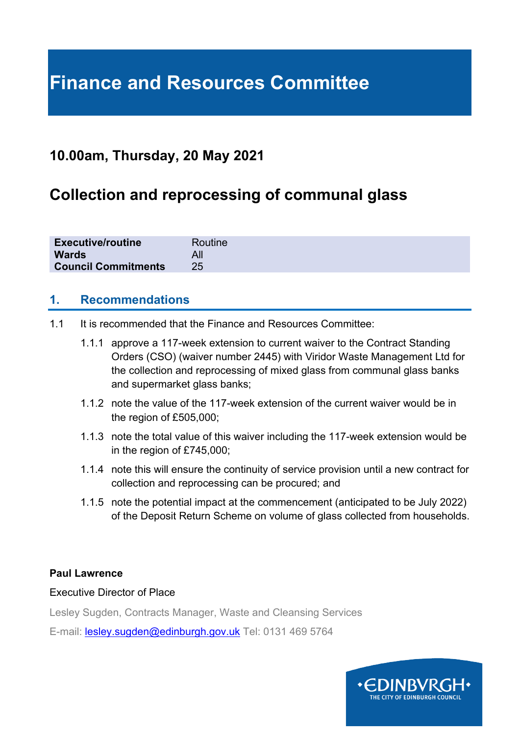# **Finance and Resources Committee**

### **10.00am, Thursday, 20 May 2021**

# **Collection and reprocessing of communal glass**

| <b>Executive/routine</b>         | Routine |
|----------------------------------|---------|
| <b>Wards</b>                     |         |
| <b>Council Commitments</b><br>25 |         |

#### **1. Recommendations**

- 1.1 It is recommended that the Finance and Resources Committee:
	- 1.1.1 approve a 117-week extension to current waiver to the Contract Standing Orders (CSO) (waiver number 2445) with Viridor Waste Management Ltd for the collection and reprocessing of mixed glass from communal glass banks and supermarket glass banks;
	- 1.1.2 note the value of the 117-week extension of the current waiver would be in the region of £505,000;
	- 1.1.3 note the total value of this waiver including the 117-week extension would be in the region of £745,000;
	- 1.1.4 note this will ensure the continuity of service provision until a new contract for collection and reprocessing can be procured; and
	- 1.1.5 note the potential impact at the commencement (anticipated to be July 2022) of the Deposit Return Scheme on volume of glass collected from households.

#### **Paul Lawrence**

#### Executive Director of Place

Lesley Sugden, Contracts Manager, Waste and Cleansing Services

E-mail: [lesley.sugden@edinburgh.gov.uk](mailto:lesley.sugden@edinburgh.gov.uk) Tel: 0131 469 5764

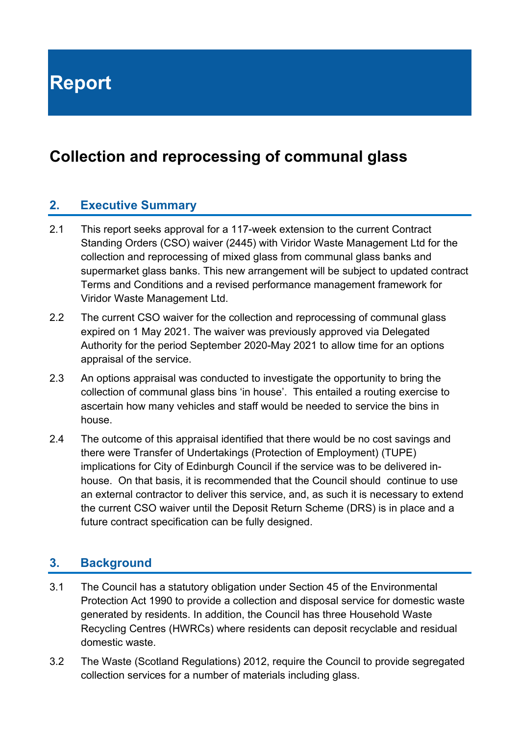**Report**

# **Collection and reprocessing of communal glass**

#### **2. Executive Summary**

- 2.1 This report seeks approval for a 117-week extension to the current Contract Standing Orders (CSO) waiver (2445) with Viridor Waste Management Ltd for the collection and reprocessing of mixed glass from communal glass banks and supermarket glass banks. This new arrangement will be subject to updated contract Terms and Conditions and a revised performance management framework for Viridor Waste Management Ltd.
- 2.2 The current CSO waiver for the collection and reprocessing of communal glass expired on 1 May 2021. The waiver was previously approved via Delegated Authority for the period September 2020-May 2021 to allow time for an options appraisal of the service.
- 2.3 An options appraisal was conducted to investigate the opportunity to bring the collection of communal glass bins 'in house'. This entailed a routing exercise to ascertain how many vehicles and staff would be needed to service the bins in house.
- 2.4 The outcome of this appraisal identified that there would be no cost savings and there were Transfer of Undertakings (Protection of Employment) (TUPE) implications for City of Edinburgh Council if the service was to be delivered inhouse. On that basis, it is recommended that the Council should continue to use an external contractor to deliver this service, and, as such it is necessary to extend the current CSO waiver until the Deposit Return Scheme (DRS) is in place and a future contract specification can be fully designed.

#### **3. Background**

- 3.1 The Council has a statutory obligation under Section 45 of the Environmental Protection Act 1990 to provide a collection and disposal service for domestic waste generated by residents. In addition, the Council has three Household Waste Recycling Centres (HWRCs) where residents can deposit recyclable and residual domestic waste.
- 3.2 The Waste (Scotland Regulations) 2012, require the Council to provide segregated collection services for a number of materials including glass.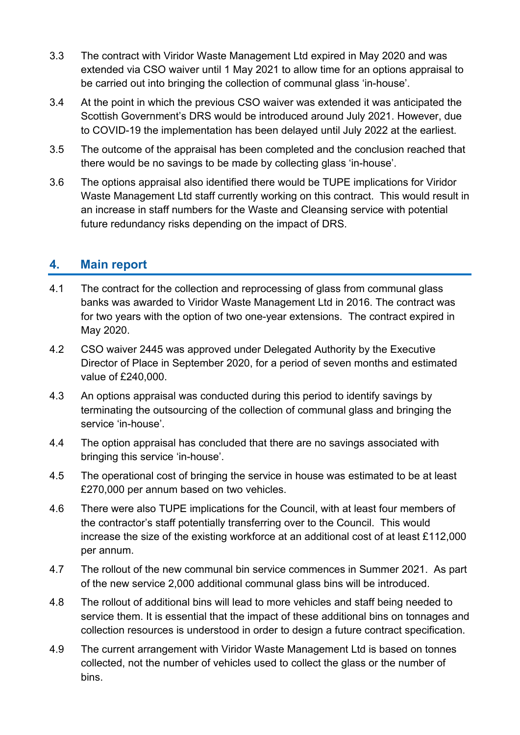- 3.3 The contract with Viridor Waste Management Ltd expired in May 2020 and was extended via CSO waiver until 1 May 2021 to allow time for an options appraisal to be carried out into bringing the collection of communal glass 'in-house'.
- 3.4 At the point in which the previous CSO waiver was extended it was anticipated the Scottish Government's DRS would be introduced around July 2021. However, due to COVID-19 the implementation has been delayed until July 2022 at the earliest.
- 3.5 The outcome of the appraisal has been completed and the conclusion reached that there would be no savings to be made by collecting glass 'in-house'.
- 3.6 The options appraisal also identified there would be TUPE implications for Viridor Waste Management Ltd staff currently working on this contract. This would result in an increase in staff numbers for the Waste and Cleansing service with potential future redundancy risks depending on the impact of DRS.

#### **4. Main report**

- 4.1 The contract for the collection and reprocessing of glass from communal glass banks was awarded to Viridor Waste Management Ltd in 2016. The contract was for two years with the option of two one-year extensions. The contract expired in May 2020.
- 4.2 CSO waiver 2445 was approved under Delegated Authority by the Executive Director of Place in September 2020, for a period of seven months and estimated value of £240,000.
- 4.3 An options appraisal was conducted during this period to identify savings by terminating the outsourcing of the collection of communal glass and bringing the service 'in-house'.
- 4.4 The option appraisal has concluded that there are no savings associated with bringing this service 'in-house'.
- 4.5 The operational cost of bringing the service in house was estimated to be at least £270,000 per annum based on two vehicles.
- 4.6 There were also TUPE implications for the Council, with at least four members of the contractor's staff potentially transferring over to the Council. This would increase the size of the existing workforce at an additional cost of at least £112,000 per annum.
- 4.7 The rollout of the new communal bin service commences in Summer 2021. As part of the new service 2,000 additional communal glass bins will be introduced.
- 4.8 The rollout of additional bins will lead to more vehicles and staff being needed to service them. It is essential that the impact of these additional bins on tonnages and collection resources is understood in order to design a future contract specification.
- 4.9 The current arrangement with Viridor Waste Management Ltd is based on tonnes collected, not the number of vehicles used to collect the glass or the number of bins.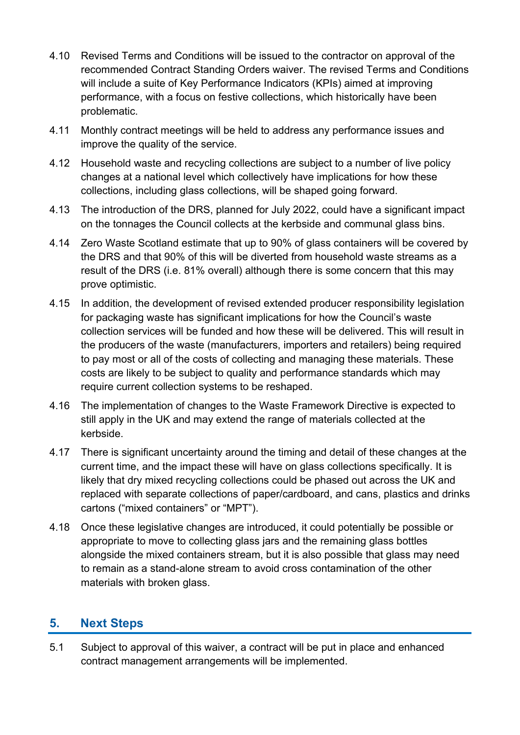- 4.10 Revised Terms and Conditions will be issued to the contractor on approval of the recommended Contract Standing Orders waiver. The revised Terms and Conditions will include a suite of Key Performance Indicators (KPIs) aimed at improving performance, with a focus on festive collections, which historically have been problematic.
- 4.11 Monthly contract meetings will be held to address any performance issues and improve the quality of the service.
- 4.12 Household waste and recycling collections are subject to a number of live policy changes at a national level which collectively have implications for how these collections, including glass collections, will be shaped going forward.
- 4.13 The introduction of the DRS, planned for July 2022, could have a significant impact on the tonnages the Council collects at the kerbside and communal glass bins.
- 4.14 Zero Waste Scotland estimate that up to 90% of glass containers will be covered by the DRS and that 90% of this will be diverted from household waste streams as a result of the DRS (i.e. 81% overall) although there is some concern that this may prove optimistic.
- 4.15 In addition, the development of revised extended producer responsibility legislation for packaging waste has significant implications for how the Council's waste collection services will be funded and how these will be delivered. This will result in the producers of the waste (manufacturers, importers and retailers) being required to pay most or all of the costs of collecting and managing these materials. These costs are likely to be subject to quality and performance standards which may require current collection systems to be reshaped.
- 4.16 The implementation of changes to the Waste Framework Directive is expected to still apply in the UK and may extend the range of materials collected at the kerbside.
- 4.17 There is significant uncertainty around the timing and detail of these changes at the current time, and the impact these will have on glass collections specifically. It is likely that dry mixed recycling collections could be phased out across the UK and replaced with separate collections of paper/cardboard, and cans, plastics and drinks cartons ("mixed containers" or "MPT").
- 4.18 Once these legislative changes are introduced, it could potentially be possible or appropriate to move to collecting glass jars and the remaining glass bottles alongside the mixed containers stream, but it is also possible that glass may need to remain as a stand-alone stream to avoid cross contamination of the other materials with broken glass.

### **5. Next Steps**

5.1 Subject to approval of this waiver, a contract will be put in place and enhanced contract management arrangements will be implemented.